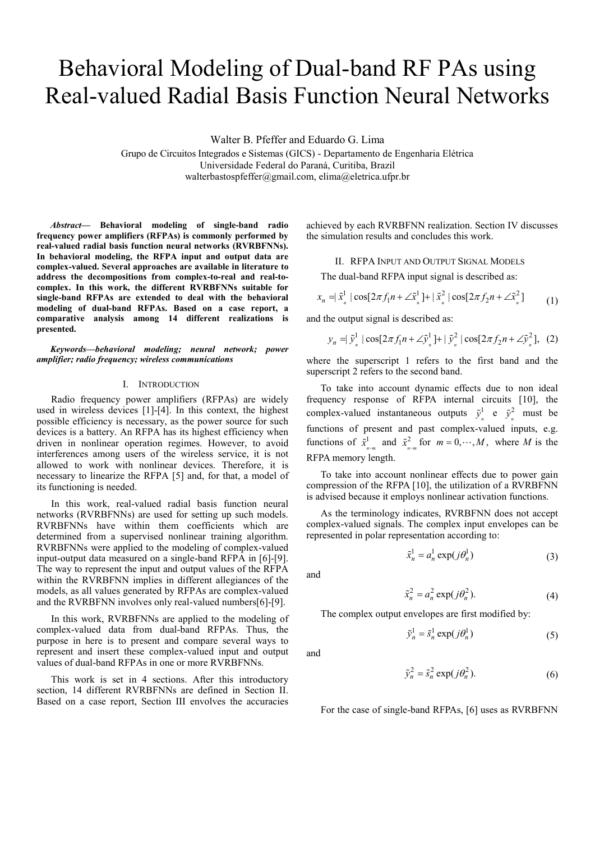# Behavioral Modeling of Dual-band RF PAs using Real-valued Radial Basis Function Neural Networks

Walter B. Pfeffer and Eduardo G. Lima

Grupo de Circuitos Integrados e Sistemas (GICS) - Departamento de Engenharia Elétrica Universidade Federal do Paraná, Curitiba, Brazil walterbastospfeffer@gmail.com, elima@eletrica.ufpr.br

*Abstract***— Behavioral modeling of single-band radio frequency power amplifiers (RFPAs) is commonly performed by real-valued radial basis function neural networks (RVRBFNNs). In behavioral modeling, the RFPA input and output data are complex-valued. Several approaches are available in literature to address the decompositions from complex-to-real and real-tocomplex. In this work, the different RVRBFNNs suitable for single-band RFPAs are extended to deal with the behavioral modeling of dual-band RFPAs. Based on a case report, a comparative analysis among 14 different realizations is presented.** 

*Keywords—behavioral modeling; neural network; power amplifier; radio frequency; wireless communications*

### I. INTRODUCTION

Radio frequency power amplifiers (RFPAs) are widely used in wireless devices [1]-[4]. In this context, the highest possible efficiency is necessary, as the power source for such devices is a battery. An RFPA has its highest efficiency when driven in nonlinear operation regimes. However, to avoid interferences among users of the wireless service, it is not allowed to work with nonlinear devices. Therefore, it is necessary to linearize the RFPA [5] and, for that, a model of its functioning is needed.

In this work, real-valued radial basis function neural networks (RVRBFNNs) are used for setting up such models. RVRBFNNs have within them coefficients which are determined from a supervised nonlinear training algorithm. RVRBFNNs were applied to the modeling of complex-valued input-output data measured on a single-band RFPA in [6]-[9]. The way to represent the input and output values of the RFPA within the RVRBFNN implies in different allegiances of the models, as all values generated by RFPAs are complex-valued and the RVRBFNN involves only real-valued numbers[6]-[9].

In this work, RVRBFNNs are applied to the modeling of complex-valued data from dual-band RFPAs. Thus, the purpose in here is to present and compare several ways to represent and insert these complex-valued input and output values of dual-band RFPAs in one or more RVRBFNNs.

This work is set in 4 sections. After this introductory section, 14 different RVRBFNNs are defined in Section II. Based on a case report, Section III envolves the accuracies achieved by each RVRBFNN realization. Section IV discusses the simulation results and concludes this work.

## II. RFPA INPUT AND OUTPUT SIGNAL MODELS

The dual-band RFPA input signal is described as:

$$
x_n = |\tilde{x}_n^1| \cos[2\pi f_1 n + \angle \tilde{x}_n^1] + |\tilde{x}_n^2| \cos[2\pi f_2 n + \angle \tilde{x}_n^2] \tag{1}
$$

and the output signal is described as:

$$
y_n = |\tilde{y}_n^1| \cos[2\pi f_1 n + \angle \tilde{y}_n^1] + |\tilde{y}_n^2| \cos[2\pi f_2 n + \angle \tilde{y}_n^2], \quad (2)
$$

where the superscript 1 refers to the first band and the superscript 2 refers to the second band.

To take into account dynamic effects due to non ideal frequency response of RFPA internal circuits [10], the complex-valued instantaneous outputs  $\tilde{y}_n^1$  e  $\tilde{y}_n^2$  must be functions of present and past complex-valued inputs, e.g. functions of  $\tilde{x}^1_{n-m}$  and  $\tilde{x}^2_{n-m}$  for  $m = 0, \dots, M$ , where *M* is the RFPA memory length.

To take into account nonlinear effects due to power gain compression of the RFPA [10], the utilization of a RVRBFNN is advised because it employs nonlinear activation functions.

As the terminology indicates, RVRBFNN does not accept complex-valued signals. The complex input envelopes can be represented in polar representation according to:

$$
\tilde{x}_n^1 = a_n^1 \exp(j\theta_n^1) \tag{3}
$$

and

$$
\tilde{x}_n^2 = a_n^2 \exp(j\theta_n^2). \tag{4}
$$

The complex output envelopes are first modified by:

$$
\tilde{y}_n^1 = \tilde{s}_n^1 \exp(j\theta_n^1) \tag{5}
$$

and

$$
\tilde{y}_n^2 = \tilde{s}_n^2 \exp(j\theta_n^2). \tag{6}
$$

For the case of single-band RFPAs, [6] uses as RVRBFNN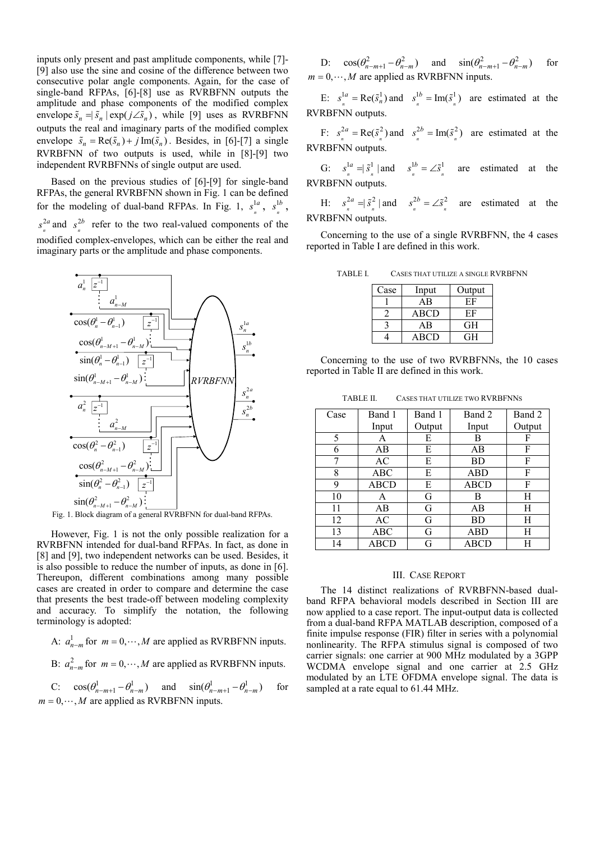inputs only present and past amplitude components, while [7]- [9] also use the sine and cosine of the difference between two consecutive polar angle components. Again, for the case of single-band RFPAs, [6]-[8] use as RVRBFNN outputs the amplitude and phase components of the modified complex envelope  $\tilde{s}_n = |\tilde{s}_n| \exp(j \angle \tilde{s}_n)$ , while [9] uses as RVRBFNN outputs the real and imaginary parts of the modified complex envelope  $\tilde{s}_n = \text{Re}(\tilde{s}_n) + j \text{Im}(\tilde{s}_n)$ . Besides, in [6]-[7] a single RVRBFNN of two outputs is used, while in [8]-[9] two independent RVRBFNNs of single output are used.

Based on the previous studies of [6]-[9] for single-band RFPAs, the general RVRBFNN shown in Fig. 1 can be defined for the modeling of dual-band RFPAs. In Fig. 1,  $s_n^1$  $s^{1a}$ ,  $s^1$ *n*  $s^{1b}$ , 2 *n*  $s_n^{2a}$  and  $s_n^2$  $s^{2b}$  refer to the two real-valued components of the modified complex-envelopes, which can be either the real and imaginary parts or the amplitude and phase components.



Fig. 1. Block diagram of a general RVRBFNN for dual-band RFPAs.

However, Fig. 1 is not the only possible realization for a RVRBFNN intended for dual-band RFPAs. In fact, as done in [8] and [9], two independent networks can be used. Besides, it is also possible to reduce the number of inputs, as done in [6]. Thereupon, different combinations among many possible cases are created in order to compare and determine the case that presents the best trade-off between modeling complexity and accuracy. To simplify the notation, the following terminology is adopted:

A:  $a_{n-m}^1$  for  $m = 0, \dots, M$  are applied as RVRBFNN inputs.

B:  $a_{n-m}^2$  for  $m = 0, \dots, M$  are applied as RVRBFNN inputs.

C:  $\cos(\theta_{n-m+1}^1 - \theta_{n-m}^1)$  and  $\sin(\theta_{n-m+1}^1 - \theta_{n-m}^1)$  for  $m = 0, \dots, M$  are applied as RVRBFNN inputs.

D:  $\cos(\theta_{n-m+1}^2 - \theta_{n-m}^2)$  and  $\sin(\theta_{n-m+1}^2 - \theta_{n-m}^2)$  for  $m = 0, \dots, M$  are applied as RVRBFNN inputs.

E:  $s_n^{1a} = \text{Re}(\tilde{s}_n^1)$  a  $s_n^{1a}$  = Re( $\tilde{s}_n^1$ ) and  $s_n^{1b}$  = Im( $\tilde{s}_n^1$ )  $s^{1b} = \text{Im}(\tilde{s}^1)$  are estimated at the RVRBFNN outputs.

F:  $s_n^{2a} = \text{Re}(\tilde{s}_n^2)$  a  $s_n^{2a} = \text{Re}(\tilde{s}_n^2)$  and  $s_n^{2b} = \text{Im}(\tilde{s}_n^2)$  $s^{2b} = \text{Im}(\tilde{s}^2)$  are estimated at the RVRBFNN outputs.

G:  $s_n^{1a} = |\tilde{s}_n^{1}|$  a  $s_n^{1a} = \widetilde{s}_n^1$  | and  $s_n^{1b} = \angle \widetilde{s}_n^1$  $s^{1b} = \angle \tilde{s}^1$  are estimated at the RVRBFNN outputs.

H:  $s_n^{2a} = |\tilde{s}_n^2|$  a  $s_n^{2a} = \widetilde{s}_n^2$  | and  $s_n^{2b} = \angle \widetilde{s}_n^2$  $s^{2b} = \angle \tilde{s}^2$  are estimated at the RVRBFNN outputs.

Concerning to the use of a single RVRBFNN, the 4 cases reported in Table I are defined in this work.

| TABLE I. | CASES THAT UTILIZE A SINGLE RVRBFNN |  |
|----------|-------------------------------------|--|
|----------|-------------------------------------|--|

| Case | Input | Output   |
|------|-------|----------|
|      | ΑB    | ЕF       |
|      | ABCD  | ЕF       |
|      | ΑB    | $\rm{H}$ |
|      | ABCD  | GН       |

Concerning to the use of two RVRBFNNs, the 10 cases reported in Table II are defined in this work.

TABLE II. CASES THAT UTILIZE TWO RVRBFNNS

| Case | Band 1      | Band 1 | Band 2      | Band 2 |
|------|-------------|--------|-------------|--------|
|      | Input       | Output | Input       | Output |
| 5    | A           | E      | в           | F      |
| 6    | AB          | E      | AВ          | F      |
| 7    | AC          | E      | BD          | F      |
| 8    | ABC         | E      | <b>ABD</b>  | F      |
| 9    | <b>ABCD</b> | E      | <b>ABCD</b> | F      |
| 10   | A           | G      | В           | Н      |
| 11   | AB          | G      | AВ          | Н      |
| 12   | AC          | G      | BD          | H      |
| 13   | ABC         | G      | <b>ABD</b>  | Н      |
| 14   | ABCD        | G      | ABCD        | H      |

### III. CASE REPORT

The 14 distinct realizations of RVRBFNN-based dualband RFPA behavioral models described in Section III are now applied to a case report. The input-output data is collected from a dual-band RFPA MATLAB description, composed of a finite impulse response (FIR) filter in series with a polynomial nonlinearity. The RFPA stimulus signal is composed of two carrier signals: one carrier at 900 MHz modulated by a 3GPP WCDMA envelope signal and one carrier at 2.5 GHz modulated by an LTE OFDMA envelope signal. The data is sampled at a rate equal to 61.44 MHz.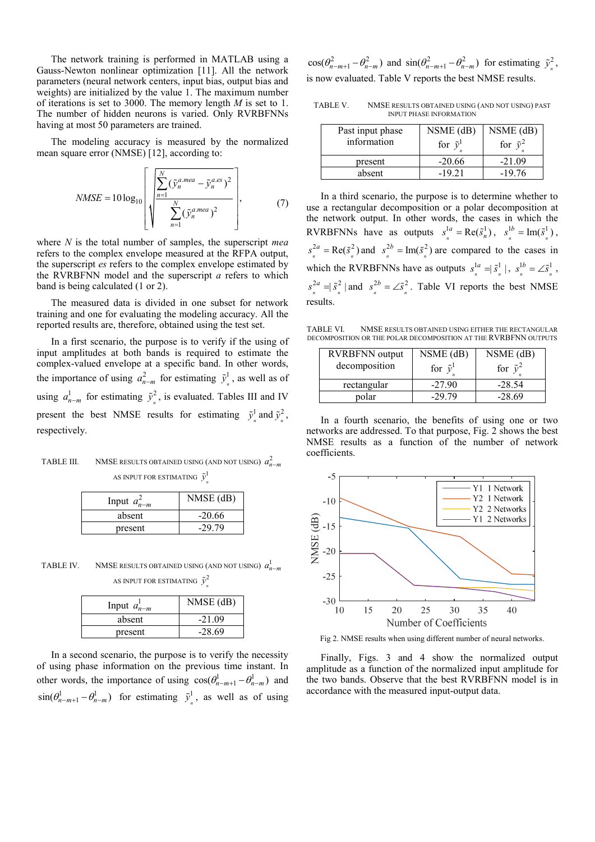The network training is performed in MATLAB using a Gauss-Newton nonlinear optimization [11]. All the network parameters (neural network centers, input bias, output bias and weights) are initialized by the value 1. The maximum number of iterations is set to 3000. The memory length *M* is set to 1. The number of hidden neurons is varied. Only RVRBFNNs having at most 50 parameters are trained.

The modeling accuracy is measured by the normalized mean square error (NMSE) [12], according to:

$$
NMSE = 10 \log_{10} \left[ \sqrt{\sum_{n=1}^{N} (\tilde{y}_n^{a \text{ } \text{ } m \text{ } a} - \tilde{y}_n^{a \text{ } \text{ } ss})^2} \right],
$$
 (7)

where *N* is the total number of samples, the superscript *mea* refers to the complex envelope measured at the RFPA output, the superscript *es* refers to the complex envelope estimated by the RVRBFNN model and the superscript *a* refers to which band is being calculated (1 or 2).

The measured data is divided in one subset for network training and one for evaluating the modeling accuracy. All the reported results are, therefore, obtained using the test set.

In a first scenario, the purpose is to verify if the using of input amplitudes at both bands is required to estimate the complex-valued envelope at a specific band. In other words, the importance of using  $a_{n-m}^2$  for estimating  $\tilde{y}_n^1$ , as well as of using  $a_{n-m}^1$  for estimating  $\tilde{y}_n^2$ , is evaluated. Tables III and IV present the best NMSE results for estimating  $\tilde{y}_n^1$  and  $\tilde{y}_n^2$ , respectively.

# TABLE III. NMSE RESULTS OBTAINED USING (AND NOT USING)  $a_{n-m}^2$ AS INPUT FOR ESTIMATING  $\tilde{\mathcal{Y}}_n^{\text{l}}$

| Input $a_{n-m}^2$ | $NMSE$ (dB) |
|-------------------|-------------|
| absent            | $-20.66$    |
| present           | $-2979$     |

TABLE IV. NMSE RESULTS OBTAINED USING (AND NOT USING)  $a_{n-m}^1$ AS INPUT FOR ESTIMATING  $\tilde{y}_n^2$ 

| Input $a_{n-m}^{\perp}$ | $NMSE$ (dB) |
|-------------------------|-------------|
| absent                  | $-21.09$    |
| present                 | $-28.69$    |

In a second scenario, the purpose is to verify the necessity of using phase information on the previous time instant. In other words, the importance of using  $cos(\theta_{n-m+1}^1 - \theta_{n-m}^1)$  and  $\sin(\theta_{n-m+1}^1 - \theta_{n-m}^1)$  for estimating  $\tilde{y}_n^1$ , as well as of using

 $cos(\theta_{n-m+1}^2 - \theta_{n-m}^2)$  and  $sin(\theta_{n-m+1}^2 - \theta_{n-m}^2)$  for estimating  $\tilde{y}_n^2$ , is now evaluated. Table V reports the best NMSE results.

TABLE V. NMSE RESULTS OBTAINED USING (AND NOT USING) PAST INPUT PHASE INFORMATION

| Past input phase<br>information | $NSME$ (dB)<br>for $\tilde{v}^1$ | $NSME$ (dB)<br>for $\tilde{v}^2$ |
|---------------------------------|----------------------------------|----------------------------------|
| present                         | $-20.66$                         | $-21.09$                         |
| absent                          | $-1921$                          | $-19.76$                         |

In a third scenario, the purpose is to determine whether to use a rectangular decomposition or a polar decomposition at the network output. In other words, the cases in which the RVRBFNNs have as outputs  $s_n^{1a} = \text{Re}(\tilde{s}_n^1)$ ,  $s_n^{1a} = \text{Re}(\tilde{s}_n^1), \quad s_n^{1b} = \text{Im}(\tilde{s}_n^1),$  $s^{1b} = \text{Im}(\tilde{s}^1)$ ,  $_{n}^{2a} = \text{Re}(\tilde{s}_{n}^{2})\varepsilon$  $s_n^{2a} = \text{Re}(\tilde{s}_n^2)$  and  $s_n^{2b} = \text{Im}(\tilde{s}_n^2)$  $s^{2b} = \text{Im}(\tilde{s}^2)$  are compared to the cases in which the RVRBFNNs have as outputs  $s_n^{1a} = |\tilde{s}_n^1|$ ,  $s^{1a} = |\tilde{s}^1|, s^{1b} = \angle \tilde{s}^1$ *n n*  $s^{1b} = \angle \tilde{s}^1$ ,  $\int_{n}^{2a} = |\tilde{s}^{2}_{n}| a$  $s_n^{2a} = |\tilde{s}_n^2|$  and  $s_n^{2b} = \angle \tilde{s}_n^2$  $s^{2b} = \angle \tilde{s}^2$ . Table VI reports the best NMSE results.

TABLE VI. NMSE RESULTS OBTAINED USING EITHER THE RECTANGULAR DECOMPOSITION OR THE POLAR DECOMPOSITION AT THE RVRBFNN OUTPUTS

| <b>RVRBFNN</b> output | $NSME$ (dB)       | $NSME$ (dB)       |
|-----------------------|-------------------|-------------------|
| decomposition         | for $\tilde{v}^1$ | for $\tilde{v}^2$ |
| rectangular           | $-27.90$          | $-28.54$          |
| polar                 | -29.79            | $-28.69$          |

In a fourth scenario, the benefits of using one or two networks are addressed. To that purpose, Fig. 2 shows the best NMSE results as a function of the number of network coefficients.



Fig 2. NMSE results when using different number of neural networks.

Finally, Figs. 3 and 4 show the normalized output amplitude as a function of the normalized input amplitude for the two bands. Observe that the best RVRBFNN model is in accordance with the measured input-output data.